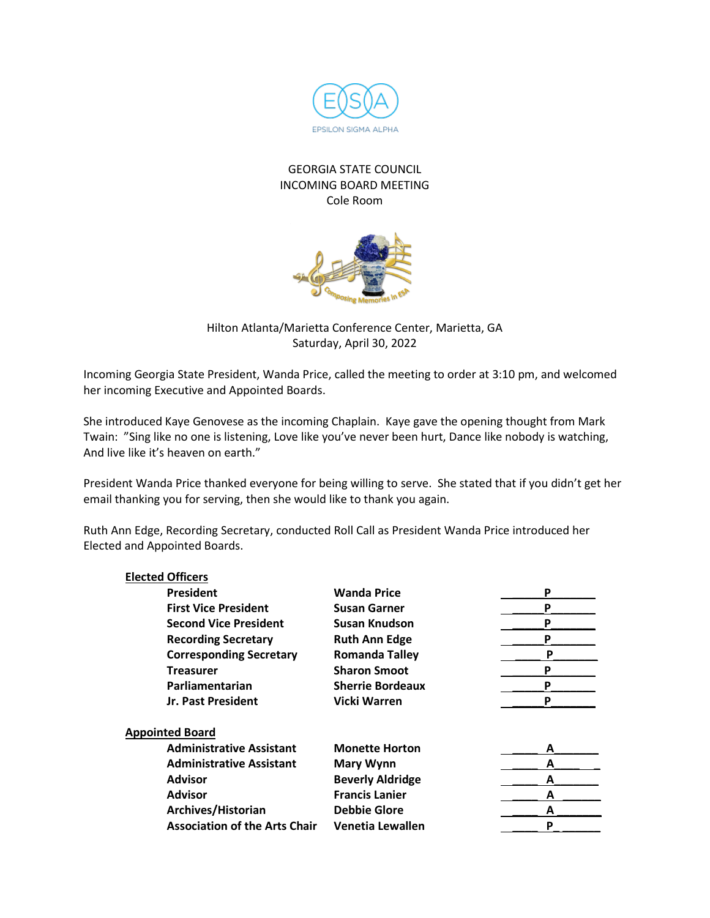

## GEORGIA STATE COUNCIL INCOMING BOARD MEETING Cole Room



Hilton Atlanta/Marietta Conference Center, Marietta, GA Saturday, April 30, 2022

Incoming Georgia State President, Wanda Price, called the meeting to order at 3:10 pm, and welcomed her incoming Executive and Appointed Boards.

She introduced Kaye Genovese as the incoming Chaplain. Kaye gave the opening thought from Mark Twain: "Sing like no one is listening, Love like you've never been hurt, Dance like nobody is watching, And live like it's heaven on earth."

President Wanda Price thanked everyone for being willing to serve. She stated that if you didn't get her email thanking you for serving, then she would like to thank you again.

Ruth Ann Edge, Recording Secretary, conducted Roll Call as President Wanda Price introduced her Elected and Appointed Boards.

**Elected Officers**

| <b>Elected Officers</b>              |                         |   |
|--------------------------------------|-------------------------|---|
| <b>President</b>                     | <b>Wanda Price</b>      | P |
| <b>First Vice President</b>          | <b>Susan Garner</b>     | P |
| <b>Second Vice President</b>         | Susan Knudson           | Ρ |
| <b>Recording Secretary</b>           | <b>Ruth Ann Edge</b>    | P |
| <b>Corresponding Secretary</b>       | <b>Romanda Talley</b>   | P |
| <b>Treasurer</b>                     | <b>Sharon Smoot</b>     | P |
| Parliamentarian                      | <b>Sherrie Bordeaux</b> | P |
| Jr. Past President                   | <b>Vicki Warren</b>     | P |
| <b>Appointed Board</b>               |                         |   |
| <b>Administrative Assistant</b>      | <b>Monette Horton</b>   | A |
| <b>Administrative Assistant</b>      | <b>Mary Wynn</b>        | A |
| <b>Advisor</b>                       | <b>Beverly Aldridge</b> | A |
| <b>Advisor</b>                       | <b>Francis Lanier</b>   | А |
| Archives/Historian                   | <b>Debbie Glore</b>     | А |
| <b>Association of the Arts Chair</b> | Venetia Lewallen        | P |
|                                      |                         |   |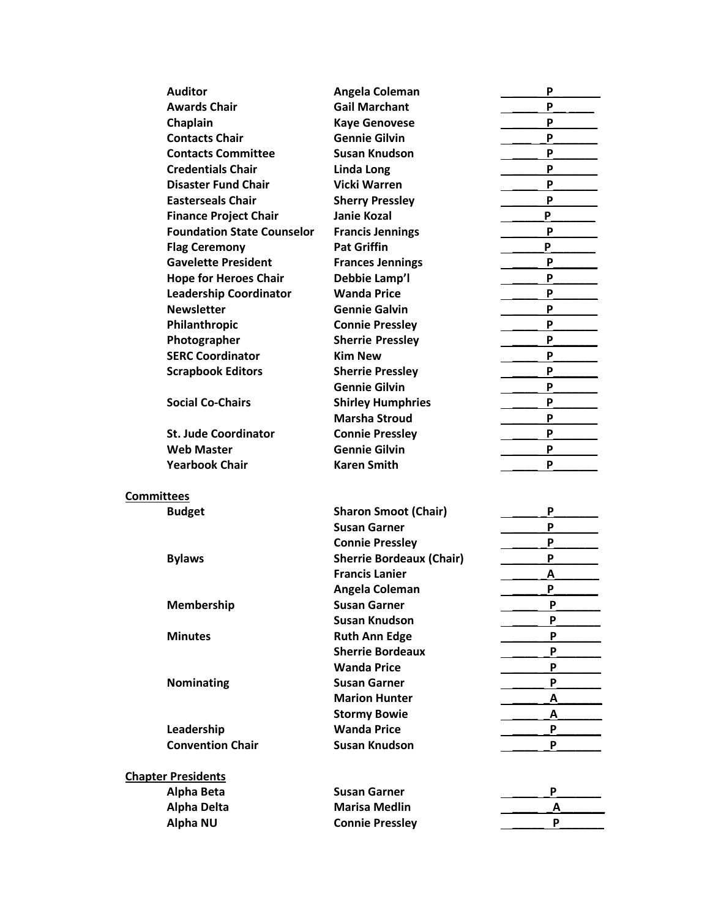| <b>Auditor</b>                    | Angela Coleman                               | P      |
|-----------------------------------|----------------------------------------------|--------|
| <b>Awards Chair</b>               | <b>Gail Marchant</b>                         | P      |
| Chaplain                          |                                              | P      |
|                                   | <b>Kaye Genovese</b><br><b>Gennie Gilvin</b> | P      |
| <b>Contacts Chair</b>             |                                              |        |
| <b>Contacts Committee</b>         | <b>Susan Knudson</b>                         | P      |
| <b>Credentials Chair</b>          | Linda Long                                   | P      |
| <b>Disaster Fund Chair</b>        | <b>Vicki Warren</b>                          | P      |
| <b>Easterseals Chair</b>          | <b>Sherry Pressley</b>                       | P      |
| <b>Finance Project Chair</b>      | <b>Janie Kozal</b>                           | P      |
| <b>Foundation State Counselor</b> | <b>Francis Jennings</b>                      | P      |
| <b>Flag Ceremony</b>              | <b>Pat Griffin</b>                           | P      |
| <b>Gavelette President</b>        | <b>Frances Jennings</b>                      | P      |
| <b>Hope for Heroes Chair</b>      | Debbie Lamp'l                                | P      |
| <b>Leadership Coordinator</b>     | <b>Wanda Price</b>                           | P      |
| <b>Newsletter</b>                 | <b>Gennie Galvin</b>                         | P      |
| Philanthropic                     | <b>Connie Pressley</b>                       | P      |
| Photographer                      | <b>Sherrie Pressley</b>                      | P      |
| <b>SERC Coordinator</b>           | <b>Kim New</b>                               | P      |
| <b>Scrapbook Editors</b>          | <b>Sherrie Pressley</b>                      | P      |
|                                   | <b>Gennie Gilvin</b>                         | P      |
| <b>Social Co-Chairs</b>           | <b>Shirley Humphries</b>                     | P      |
|                                   | <b>Marsha Stroud</b>                         | P      |
| <b>St. Jude Coordinator</b>       | <b>Connie Pressley</b>                       | P      |
| <b>Web Master</b>                 | <b>Gennie Gilvin</b>                         | P      |
| <b>Yearbook Chair</b>             | <b>Karen Smith</b>                           | P      |
| <b>Committees</b>                 |                                              |        |
| <b>Budget</b>                     | <b>Sharon Smoot (Chair)</b>                  | P      |
|                                   | <b>Susan Garner</b>                          | P      |
|                                   | <b>Connie Pressley</b>                       | P      |
| <b>Bylaws</b>                     | <b>Sherrie Bordeaux (Chair)</b>              | P      |
|                                   | <b>Francis Lanier</b>                        | A      |
|                                   | Angela Coleman                               | P      |
|                                   |                                              |        |
| <b>Membership</b>                 | <b>Susan Garner</b><br>Susan Knudson         | Ρ<br>P |
|                                   |                                              |        |
| <b>Minutes</b>                    | <b>Ruth Ann Edge</b>                         | P      |
|                                   | <b>Sherrie Bordeaux</b>                      | P      |
|                                   | <b>Wanda Price</b>                           | P      |
| Nominating                        | <b>Susan Garner</b>                          | P      |
|                                   | <b>Marion Hunter</b>                         | А      |
|                                   | <b>Stormy Bowie</b>                          | А      |
| Leadership                        | <b>Wanda Price</b>                           | P      |
| <b>Convention Chair</b>           | <b>Susan Knudson</b>                         | P      |
| <b>Chapter Presidents</b>         |                                              |        |
| Alpha Beta                        | <b>Susan Garner</b>                          | P      |
| <b>Alpha Delta</b>                | <b>Marisa Medlin</b>                         | Α      |
| <b>Alpha NU</b>                   | <b>Connie Pressley</b>                       | P      |
|                                   |                                              |        |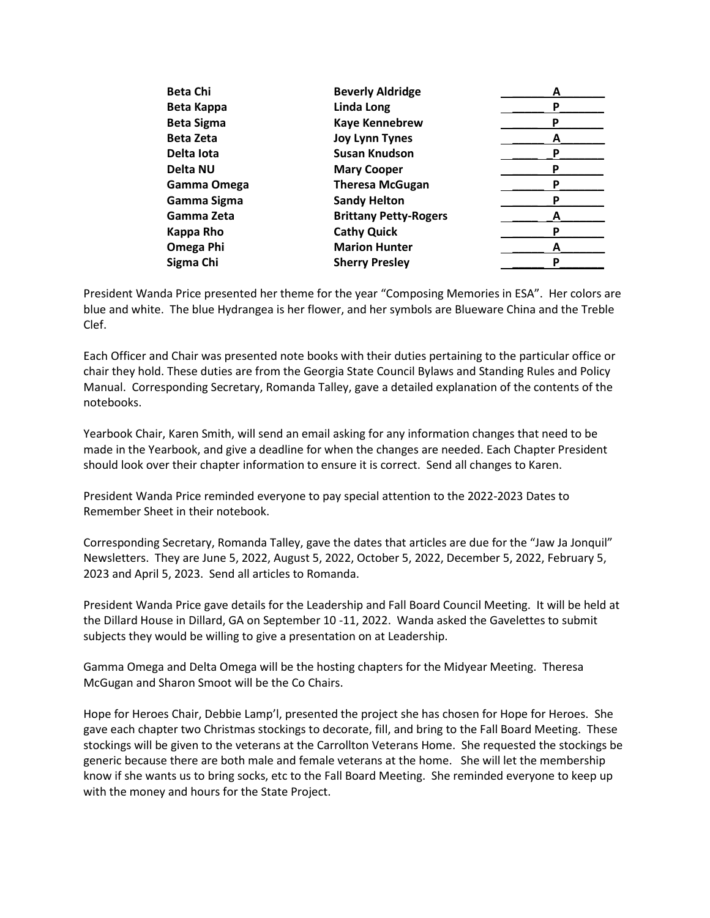| <b>Beta Chi</b>   | <b>Beverly Aldridge</b>      | A |
|-------------------|------------------------------|---|
| <b>Beta Kappa</b> | Linda Long                   |   |
| <b>Beta Sigma</b> | <b>Kaye Kennebrew</b>        |   |
| <b>Beta Zeta</b>  | <b>Joy Lynn Tynes</b>        |   |
| Delta lota        | <b>Susan Knudson</b>         |   |
| Delta NU          | <b>Mary Cooper</b>           |   |
| Gamma Omega       | <b>Theresa McGugan</b>       | р |
| Gamma Sigma       | <b>Sandy Helton</b>          |   |
| Gamma Zeta        | <b>Brittany Petty-Rogers</b> |   |
| Kappa Rho         | <b>Cathy Quick</b>           |   |
| Omega Phi         | <b>Marion Hunter</b>         | A |
| Sigma Chi         | <b>Sherry Presley</b>        |   |
|                   |                              |   |

President Wanda Price presented her theme for the year "Composing Memories in ESA". Her colors are blue and white. The blue Hydrangea is her flower, and her symbols are Blueware China and the Treble Clef.

Each Officer and Chair was presented note books with their duties pertaining to the particular office or chair they hold. These duties are from the Georgia State Council Bylaws and Standing Rules and Policy Manual. Corresponding Secretary, Romanda Talley, gave a detailed explanation of the contents of the notebooks.

Yearbook Chair, Karen Smith, will send an email asking for any information changes that need to be made in the Yearbook, and give a deadline for when the changes are needed. Each Chapter President should look over their chapter information to ensure it is correct. Send all changes to Karen.

President Wanda Price reminded everyone to pay special attention to the 2022-2023 Dates to Remember Sheet in their notebook.

Corresponding Secretary, Romanda Talley, gave the dates that articles are due for the "Jaw Ja Jonquil" Newsletters. They are June 5, 2022, August 5, 2022, October 5, 2022, December 5, 2022, February 5, 2023 and April 5, 2023. Send all articles to Romanda.

President Wanda Price gave details for the Leadership and Fall Board Council Meeting. It will be held at the Dillard House in Dillard, GA on September 10 -11, 2022. Wanda asked the Gavelettes to submit subjects they would be willing to give a presentation on at Leadership.

Gamma Omega and Delta Omega will be the hosting chapters for the Midyear Meeting. Theresa McGugan and Sharon Smoot will be the Co Chairs.

Hope for Heroes Chair, Debbie Lamp'l, presented the project she has chosen for Hope for Heroes. She gave each chapter two Christmas stockings to decorate, fill, and bring to the Fall Board Meeting. These stockings will be given to the veterans at the Carrollton Veterans Home. She requested the stockings be generic because there are both male and female veterans at the home. She will let the membership know if she wants us to bring socks, etc to the Fall Board Meeting. She reminded everyone to keep up with the money and hours for the State Project.